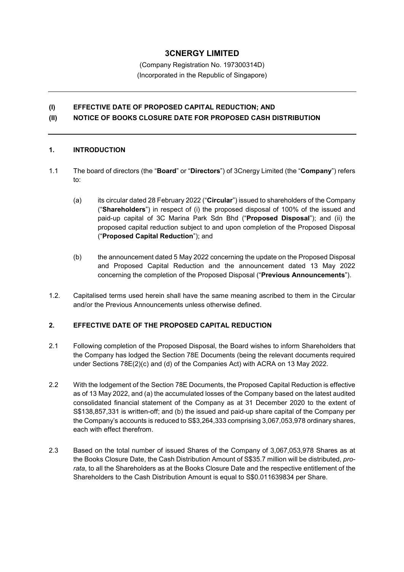# **3CNERGY LIMITED**

(Company Registration No. 197300314D) (Incorporated in the Republic of Singapore)

## **(I) EFFECTIVE DATE OF PROPOSED CAPITAL REDUCTION; AND (II) NOTICE OF BOOKS CLOSURE DATE FOR PROPOSED CASH DISTRIBUTION**

#### **1. INTRODUCTION**

- 1.1 The board of directors (the "**Board**" or "**Directors**") of 3Cnergy Limited (the "**Company**") refers to:
	- (a) its circular dated 28 February 2022 ("**Circular**") issued to shareholders of the Company ("**Shareholders**") in respect of (i) the proposed disposal of 100% of the issued and paid-up capital of 3C Marina Park Sdn Bhd ("**Proposed Disposal**"); and (ii) the proposed capital reduction subject to and upon completion of the Proposed Disposal ("**Proposed Capital Reduction**"); and
	- (b) the announcement dated 5 May 2022 concerning the update on the Proposed Disposal and Proposed Capital Reduction and the announcement dated 13 May 2022 concerning the completion of the Proposed Disposal ("**Previous Announcements**").
- 1.2. Capitalised terms used herein shall have the same meaning ascribed to them in the Circular and/or the Previous Announcements unless otherwise defined.

#### **2. EFFECTIVE DATE OF THE PROPOSED CAPITAL REDUCTION**

- 2.1 Following completion of the Proposed Disposal, the Board wishes to inform Shareholders that the Company has lodged the Section 78E Documents (being the relevant documents required under Sections 78E(2)(c) and (d) of the Companies Act) with ACRA on 13 May 2022.
- 2.2 With the lodgement of the Section 78E Documents, the Proposed Capital Reduction is effective as of 13 May 2022, and (a) the accumulated losses of the Company based on the latest audited consolidated financial statement of the Company as at 31 December 2020 to the extent of S\$138,857,331 is written-off; and (b) the issued and paid-up share capital of the Company per the Company's accounts is reduced to S\$3,264,333 comprising 3,067,053,978 ordinary shares, each with effect therefrom.
- 2.3 Based on the total number of issued Shares of the Company of 3,067,053,978 Shares as at the Books Closure Date, the Cash Distribution Amount of S\$35.7 million will be distributed, *prorata*, to all the Shareholders as at the Books Closure Date and the respective entitlement of the Shareholders to the Cash Distribution Amount is equal to S\$0.011639834 per Share.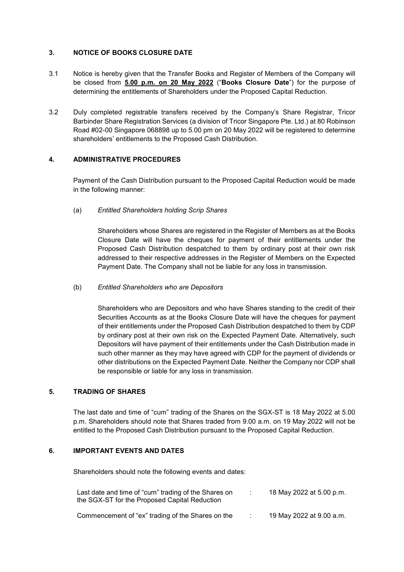# **3. NOTICE OF BOOKS CLOSURE DATE**

- 3.1 Notice is hereby given that the Transfer Books and Register of Members of the Company will be closed from **5.00 p.m. on 20 May 2022** ("**Books Closure Date**") for the purpose of determining the entitlements of Shareholders under the Proposed Capital Reduction.
- 3.2 Duly completed registrable transfers received by the Company's Share Registrar, Tricor Barbinder Share Registration Services (a division of Tricor Singapore Pte. Ltd.) at 80 Robinson Road #02-00 Singapore 068898 up to 5.00 pm on 20 May 2022 will be registered to determine shareholders' entitlements to the Proposed Cash Distribution.

#### **4. ADMINISTRATIVE PROCEDURES**

 Payment of the Cash Distribution pursuant to the Proposed Capital Reduction would be made in the following manner:

(a)*Entitled Shareholders holding Scrip Shares*

Shareholders whose Shares are registered in the Register of Members as at the Books Closure Date will have the cheques for payment of their entitlements under the Proposed Cash Distribution despatched to them by ordinary post at their own risk addressed to their respective addresses in the Register of Members on the Expected Payment Date. The Company shall not be liable for any loss in transmission.

#### (b) *Entitled Shareholders who are Depositors*

Shareholders who are Depositors and who have Shares standing to the credit of their Securities Accounts as at the Books Closure Date will have the cheques for payment of their entitlements under the Proposed Cash Distribution despatched to them by CDP by ordinary post at their own risk on the Expected Payment Date. Alternatively, such Depositors will have payment of their entitlements under the Cash Distribution made in such other manner as they may have agreed with CDP for the payment of dividends or other distributions on the Expected Payment Date. Neither the Company nor CDP shall be responsible or liable for any loss in transmission.

## **5. TRADING OF SHARES**

The last date and time of "cum" trading of the Shares on the SGX-ST is 18 May 2022 at 5.00 p.m. Shareholders should note that Shares traded from 9.00 a.m. on 19 May 2022 will not be entitled to the Proposed Cash Distribution pursuant to the Proposed Capital Reduction.

# **6. IMPORTANT EVENTS AND DATES**

Shareholders should note the following events and dates:

| Last date and time of "cum" trading of the Shares on<br>the SGX-ST for the Proposed Capital Reduction | 18 May 2022 at 5.00 p.m. |
|-------------------------------------------------------------------------------------------------------|--------------------------|
| Commencement of "ex" trading of the Shares on the                                                     | 19 May 2022 at 9.00 a.m. |